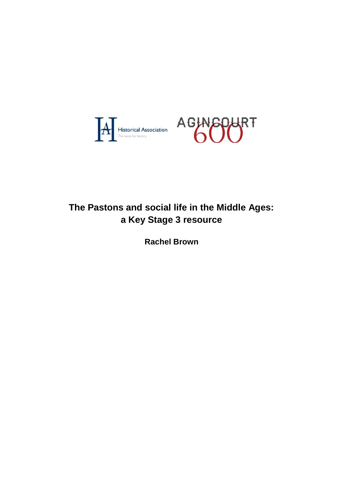

# **The Pastons and social life in the Middle Ages: a Key Stage 3 resource**

**Rachel Brown**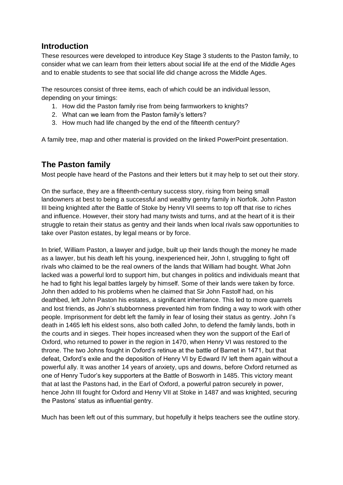# **Introduction**

These resources were developed to introduce Key Stage 3 students to the Paston family, to consider what we can learn from their letters about social life at the end of the Middle Ages and to enable students to see that social life did change across the Middle Ages.

The resources consist of three items, each of which could be an individual lesson, depending on your timings:

- 1. How did the Paston family rise from being farmworkers to knights?
- 2. What can we learn from the Paston family's letters?
- 3. How much had life changed by the end of the fifteenth century?

A family tree, map and other material is provided on the linked PowerPoint presentation.

# **The Paston family**

Most people have heard of the Pastons and their letters but it may help to set out their story.

On the surface, they are a fifteenth-century success story, rising from being small landowners at best to being a successful and wealthy gentry family in Norfolk. John Paston III being knighted after the Battle of Stoke by Henry VII seems to top off that rise to riches and influence. However, their story had many twists and turns, and at the heart of it is their struggle to retain their status as gentry and their lands when local rivals saw opportunities to take over Paston estates, by legal means or by force.

In brief, William Paston, a lawyer and judge, built up their lands though the money he made as a lawyer, but his death left his young, inexperienced heir, John I, struggling to fight off rivals who claimed to be the real owners of the lands that William had bought. What John lacked was a powerful lord to support him, but changes in politics and individuals meant that he had to fight his legal battles largely by himself. Some of their lands were taken by force. John then added to his problems when he claimed that Sir John Fastolf had, on his deathbed, left John Paston his estates, a significant inheritance. This led to more quarrels and lost friends, as John's stubbornness prevented him from finding a way to work with other people. Imprisonment for debt left the family in fear of losing their status as gentry. John I's death in 1465 left his eldest sons, also both called John, to defend the family lands, both in the courts and in sieges. Their hopes increased when they won the support of the Earl of Oxford, who returned to power in the region in 1470, when Henry VI was restored to the throne. The two Johns fought in Oxford's retinue at the battle of Barnet in 1471, but that defeat, Oxford's exile and the deposition of Henry VI by Edward IV left them again without a powerful ally. It was another 14 years of anxiety, ups and downs, before Oxford returned as one of Henry Tudor's key supporters at the Battle of Bosworth in 1485. This victory meant that at last the Pastons had, in the Earl of Oxford, a powerful patron securely in power, hence John III fought for Oxford and Henry VII at Stoke in 1487 and was knighted, securing the Pastons' status as influential gentry.

Much has been left out of this summary, but hopefully it helps teachers see the outline story.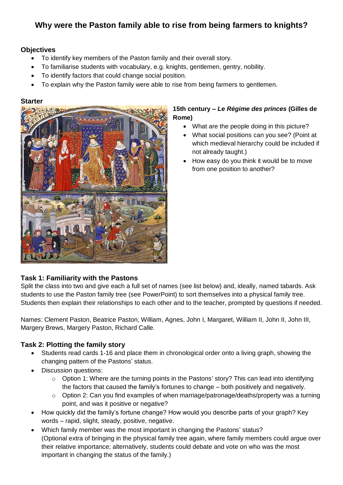# **Why were the Paston family able to rise from being farmers to knights?**

## **Objectives**

- To identify key members of the Paston family and their overall story.
- To familiarise students with vocabulary, e.g. knights, gentlemen, gentry, nobility.
- To identify factors that could change social position.
- To explain why the Paston family were able to rise from being farmers to gentlemen.

#### **Starter**



## **15th century –** *Le Régime des princes* **(Gilles de Rome)**

- What are the people doing in this picture?
- What social positions can you see? (Point at which medieval hierarchy could be included if not already taught.)
- How easy do you think it would be to move from one position to another?

## **Task 1: Familiarity with the Pastons**

Split the class into two and give each a full set of names (see list below) and, ideally, named tabards. Ask students to use the Paston family tree (see PowerPoint) to sort themselves into a physical family tree. Students then explain their relationships to each other and to the teacher, prompted by questions if needed.

Names: Clement Paston, Beatrice Paston, William, Agnes, John I, Margaret, William II, John II, John III, Margery Brews, Margery Paston, Richard Calle.

## **Task 2: Plotting the family story**

- Students read cards 1-16 and place them in chronological order onto a living graph, showing the changing pattern of the Pastons' status.
- Discussion questions:
	- o Option 1: Where are the turning points in the Pastons' story? This can lead into identifying the factors that caused the family's fortunes to change – both positively and negatively.
	- $\circ$  Option 2: Can you find examples of when marriage/patronage/deaths/property was a turning point, and was it positive or negative?
- How quickly did the family's fortune change? How would you describe parts of your graph? Key words – rapid, slight, steady, positive, negative.
- Which family member was the most important in changing the Pastons' status? (Optional extra of bringing in the physical family tree again, where family members could argue over their relative importance; alternatively, students could debate and vote on who was the most important in changing the status of the family.)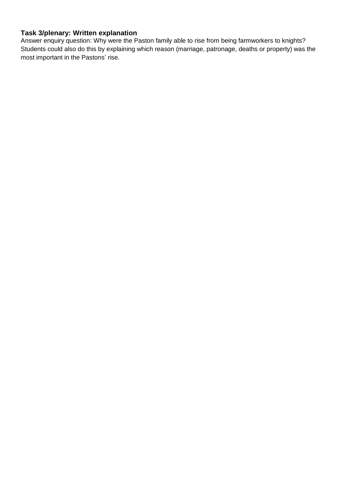## **Task 3/plenary: Written explanation**

Answer enquiry question: Why were the Paston family able to rise from being farmworkers to knights? Students could also do this by explaining which reason (marriage, patronage, deaths or property) was the most important in the Pastons' rise.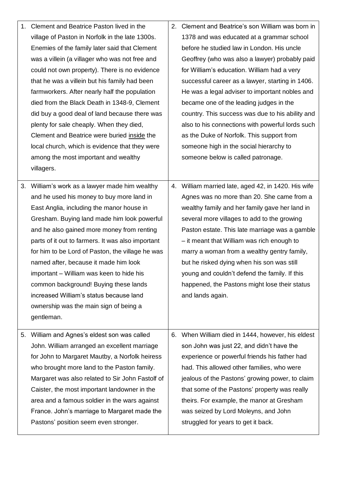|    | 1. Clement and Beatrice Paston lived in the                                           | 2. | Clement and Beatrice's son William was born in                              |
|----|---------------------------------------------------------------------------------------|----|-----------------------------------------------------------------------------|
|    | village of Paston in Norfolk in the late 1300s.                                       |    | 1378 and was educated at a grammar school                                   |
|    | Enemies of the family later said that Clement                                         |    | before he studied law in London. His uncle                                  |
|    | was a villein (a villager who was not free and                                        |    | Geoffrey (who was also a lawyer) probably paid                              |
|    | could not own property). There is no evidence                                         |    | for William's education. William had a very                                 |
|    | that he was a villein but his family had been                                         |    | successful career as a lawyer, starting in 1406.                            |
|    | farmworkers. After nearly half the population                                         |    | He was a legal adviser to important nobles and                              |
|    | died from the Black Death in 1348-9, Clement                                          |    | became one of the leading judges in the                                     |
|    | did buy a good deal of land because there was                                         |    | country. This success was due to his ability and                            |
|    | plenty for sale cheaply. When they died,                                              |    | also to his connections with powerful lords such                            |
|    | Clement and Beatrice were buried inside the                                           |    | as the Duke of Norfolk. This support from                                   |
|    | local church, which is evidence that they were                                        |    | someone high in the social hierarchy to                                     |
|    | among the most important and wealthy                                                  |    | someone below is called patronage.                                          |
|    | villagers.                                                                            |    |                                                                             |
|    |                                                                                       |    |                                                                             |
|    | 3. William's work as a lawyer made him wealthy                                        |    | 4. William married late, aged 42, in 1420. His wife                         |
|    | and he used his money to buy more land in                                             |    | Agnes was no more than 20. She came from a                                  |
|    | East Anglia, including the manor house in                                             |    | wealthy family and her family gave her land in                              |
|    | Gresham. Buying land made him look powerful                                           |    | several more villages to add to the growing                                 |
|    | and he also gained more money from renting                                            |    | Paston estate. This late marriage was a gamble                              |
|    | parts of it out to farmers. It was also important                                     |    | - it meant that William was rich enough to                                  |
|    | for him to be Lord of Paston, the village he was                                      |    | marry a woman from a wealthy gentry family,                                 |
|    | named after, because it made him look                                                 |    | but he risked dying when his son was still                                  |
|    | important - William was keen to hide his                                              |    | young and couldn't defend the family. If this                               |
|    | common background! Buying these lands                                                 |    | happened, the Pastons might lose their status                               |
|    | increased William's status because land                                               |    | and lands again.                                                            |
|    | ownership was the main sign of being a                                                |    |                                                                             |
|    | gentleman.                                                                            |    |                                                                             |
| 5. | William and Agnes's eldest son was called                                             |    | 6. When William died in 1444, however, his eldest                           |
|    | John. William arranged an excellent marriage                                          |    | son John was just 22, and didn't have the                                   |
|    | for John to Margaret Mautby, a Norfolk heiress                                        |    | experience or powerful friends his father had                               |
|    | who brought more land to the Paston family.                                           |    | had. This allowed other families, who were                                  |
|    | Margaret was also related to Sir John Fastolf of                                      |    | jealous of the Pastons' growing power, to claim                             |
|    | Caister, the most important landowner in the                                          |    | that some of the Pastons' property was really                               |
|    | area and a famous soldier in the wars against                                         |    | theirs. For example, the manor at Gresham                                   |
|    |                                                                                       |    |                                                                             |
|    |                                                                                       |    |                                                                             |
|    | France. John's marriage to Margaret made the<br>Pastons' position seem even stronger. |    | was seized by Lord Moleyns, and John<br>struggled for years to get it back. |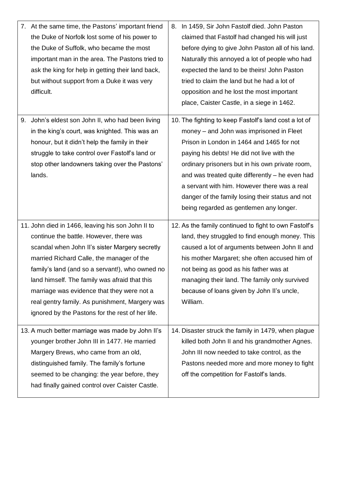|    | 7. At the same time, the Pastons' important friend<br>the Duke of Norfolk lost some of his power to<br>the Duke of Suffolk, who became the most<br>important man in the area. The Pastons tried to<br>ask the king for help in getting their land back,<br>but without support from a Duke it was very<br>difficult.                                                                                                                                | 8. In 1459, Sir John Fastolf died. John Paston<br>claimed that Fastolf had changed his will just<br>before dying to give John Paston all of his land.<br>Naturally this annoyed a lot of people who had<br>expected the land to be theirs! John Paston<br>tried to claim the land but he had a lot of<br>opposition and he lost the most important<br>place, Caister Castle, in a siege in 1462.                                                  |
|----|-----------------------------------------------------------------------------------------------------------------------------------------------------------------------------------------------------------------------------------------------------------------------------------------------------------------------------------------------------------------------------------------------------------------------------------------------------|---------------------------------------------------------------------------------------------------------------------------------------------------------------------------------------------------------------------------------------------------------------------------------------------------------------------------------------------------------------------------------------------------------------------------------------------------|
| 9. | John's eldest son John II, who had been living<br>in the king's court, was knighted. This was an<br>honour, but it didn't help the family in their<br>struggle to take control over Fastolf's land or<br>stop other landowners taking over the Pastons'<br>lands.                                                                                                                                                                                   | 10. The fighting to keep Fastolf's land cost a lot of<br>money – and John was imprisoned in Fleet<br>Prison in London in 1464 and 1465 for not<br>paying his debts! He did not live with the<br>ordinary prisoners but in his own private room,<br>and was treated quite differently - he even had<br>a servant with him. However there was a real<br>danger of the family losing their status and not<br>being regarded as gentlemen any longer. |
|    | 11. John died in 1466, leaving his son John II to<br>continue the battle. However, there was<br>scandal when John II's sister Margery secretly<br>married Richard Calle, the manager of the<br>family's land (and so a servant!), who owned no<br>land himself. The family was afraid that this<br>marriage was evidence that they were not a<br>real gentry family. As punishment, Margery was<br>ignored by the Pastons for the rest of her life. | 12. As the family continued to fight to own Fastolf's<br>land, they struggled to find enough money. This<br>caused a lot of arguments between John II and<br>his mother Margaret; she often accused him of<br>not being as good as his father was at<br>managing their land. The family only survived<br>because of loans given by John II's uncle,<br>William.                                                                                   |
|    | 13. A much better marriage was made by John II's<br>younger brother John III in 1477. He married<br>Margery Brews, who came from an old,<br>distinguished family. The family's fortune<br>seemed to be changing: the year before, they<br>had finally gained control over Caister Castle.                                                                                                                                                           | 14. Disaster struck the family in 1479, when plague<br>killed both John II and his grandmother Agnes.<br>John III now needed to take control, as the<br>Pastons needed more and more money to fight<br>off the competition for Fastolf's lands.                                                                                                                                                                                                   |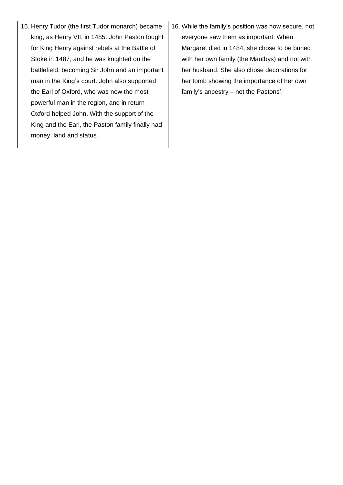15. Henry Tudor (the first Tudor monarch) became king, as Henry VII, in 1485. John Paston fought for King Henry against rebels at the Battle of Stoke in 1487, and he was knighted on the battlefield, becoming Sir John and an important man in the King's court. John also supported the Earl of Oxford, who was now the most powerful man in the region, and in return Oxford helped John. With the support of the King and the Earl, the Paston family finally had money, land and status. 16. While the family's position was now secure, not everyone saw them as important. When Margaret died in 1484, she chose to be buried with her own family (the Mautbys) and not with her husband. She also chose decorations for her tomb showing the importance of her own family's ancestry – not the Pastons'.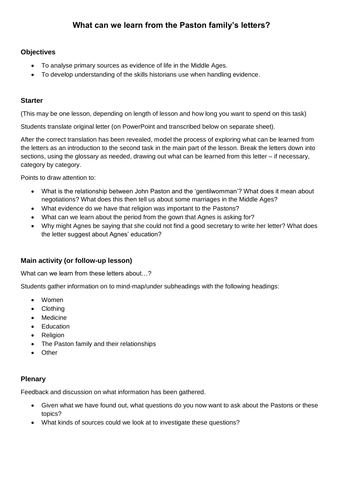## **Objectives**

- To analyse primary sources as evidence of life in the Middle Ages.
- To develop understanding of the skills historians use when handling evidence.

## **Starter**

(This may be one lesson, depending on length of lesson and how long you want to spend on this task)

Students translate original letter (on PowerPoint and transcribed below on separate sheet).

After the correct translation has been revealed, model the process of exploring what can be learned from the letters as an introduction to the second task in the main part of the lesson. Break the letters down into sections, using the glossary as needed, drawing out what can be learned from this letter – if necessary, category by category.

Points to draw attention to:

- What is the relationship between John Paston and the 'gentilwomman'? What does it mean about negotiations? What does this then tell us about some marriages in the Middle Ages?
- What evidence do we have that religion was important to the Pastons?
- What can we learn about the period from the gown that Agnes is asking for?
- Why might Agnes be saying that she could not find a good secretary to write her letter? What does the letter suggest about Agnes' education?

## **Main activity (or follow-up lesson)**

What can we learn from these letters about...?

Students gather information on to mind-map/under subheadings with the following headings:

- Women
- Clothing
- Medicine
- Education
- Religion
- The Paston family and their relationships
- Other

## **Plenary**

Feedback and discussion on what information has been gathered.

- Given what we have found out, what questions do you now want to ask about the Pastons or these topics?
- What kinds of sources could we look at to investigate these questions?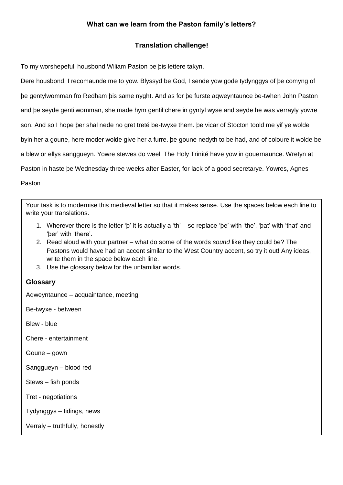## **Translation challenge!**

To my worshepefull housbond Wiliam Paston be þis lettere takyn.

Dere housbond, I recomaunde me to yow. Blyssyd be God, I sende yow gode tydynggys of þe comyng of þe gentylwomman fro Redham þis same nyght. And as for þe furste aqweyntaunce be-twhen John Paston and þe seyde gentilwomman, she made hym gentil chere in gyntyl wyse and seyde he was verrayly yowre son. And so I hope þer shal nede no gret treté be-twyxe them. þe vicar of Stocton toold me yif ye wolde byin her a goune, here moder wolde give her a furre. þe goune nedyth to be had, and of coloure it wolde be a blew or ellys sanggueyn. Yowre stewes do weel. The Holy Trinité have yow in gouernaunce. Wretyn at Paston in haste þe Wednesday three weeks after Easter, for lack of a good secretarye. Yowres, Agnes Paston

Your task is to modernise this medieval letter so that it makes sense. Use the spaces below each line to write your translations.

- 1. Wherever there is the letter 'þ' it is actually a 'th' so replace 'þe' with 'the', 'þat' with 'that' and 'þer' with 'there'.
- 2. Read aloud with your partner what do some of the words *sound* like they could be? The Pastons would have had an accent similar to the West Country accent, so try it out! Any ideas, write them in the space below each line.
- 3. Use the glossary below for the unfamiliar words.

## **Glossary**

Aqweyntaunce – acquaintance, meeting

Be-twyxe - between

Blew - blue

Chere - entertainment

Goune – gown

Sanggueyn – blood red

Stews – fish ponds

Tret - negotiations

Tydynggys – tidings, news

Verraly – truthfully, honestly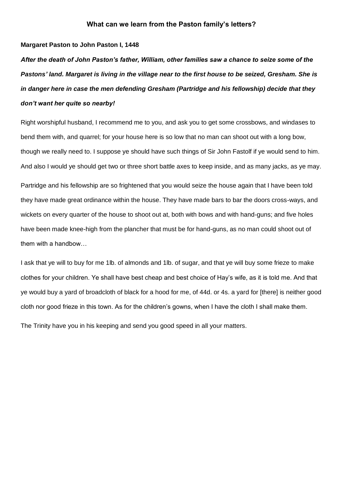#### **Margaret Paston to John Paston I, 1448**

*After the death of John Paston's father, William, other families saw a chance to seize some of the Pastons' land. Margaret is living in the village near to the first house to be seized, Gresham. She is in danger here in case the men defending Gresham (Partridge and his fellowship) decide that they don't want her quite so nearby!*

Right worshipful husband, I recommend me to you, and ask you to get some crossbows, and windases to bend them with, and quarrel; for your house here is so low that no man can shoot out with a long bow, though we really need to. I suppose ye should have such things of Sir John Fastolf if ye would send to him. And also I would ye should get two or three short battle axes to keep inside, and as many jacks, as ye may.

Partridge and his fellowship are so frightened that you would seize the house again that I have been told they have made great ordinance within the house. They have made bars to bar the doors cross-ways, and wickets on every quarter of the house to shoot out at, both with bows and with hand-guns; and five holes have been made knee-high from the plancher that must be for hand-guns, as no man could shoot out of them with a handbow…

I ask that ye will to buy for me 1lb. of almonds and 1lb. of sugar, and that ye will buy some frieze to make clothes for your children. Ye shall have best cheap and best choice of Hay's wife, as it is told me. And that ye would buy a yard of broadcloth of black for a hood for me, of 44d. or 4s. a yard for [there] is neither good cloth nor good frieze in this town. As for the children's gowns, when I have the cloth I shall make them.

The Trinity have you in his keeping and send you good speed in all your matters.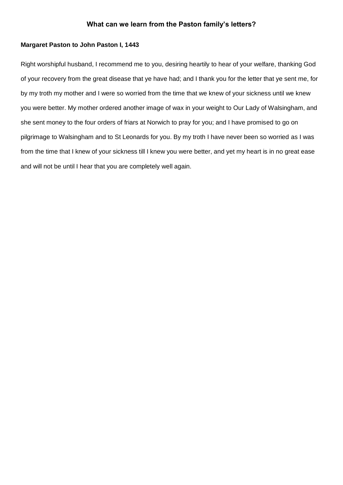#### **Margaret Paston to John Paston I, 1443**

Right worshipful husband, I recommend me to you, desiring heartily to hear of your welfare, thanking God of your recovery from the great disease that ye have had; and I thank you for the letter that ye sent me, for by my troth my mother and I were so worried from the time that we knew of your sickness until we knew you were better. My mother ordered another image of wax in your weight to Our Lady of Walsingham, and she sent money to the four orders of friars at Norwich to pray for you; and I have promised to go on pilgrimage to Walsingham and to St Leonards for you. By my troth I have never been so worried as I was from the time that I knew of your sickness till I knew you were better, and yet my heart is in no great ease and will not be until I hear that you are completely well again.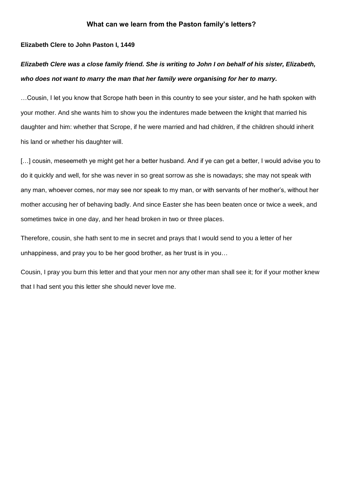### **Elizabeth Clere to John Paston I, 1449**

# *Elizabeth Clere was a close family friend. She is writing to John I on behalf of his sister, Elizabeth, who does not want to marry the man that her family were organising for her to marry.*

…Cousin, I let you know that Scrope hath been in this country to see your sister, and he hath spoken with your mother. And she wants him to show you the indentures made between the knight that married his daughter and him: whether that Scrope, if he were married and had children, if the children should inherit his land or whether his daughter will.

[...] cousin, meseemeth ye might get her a better husband. And if ye can get a better, I would advise you to do it quickly and well, for she was never in so great sorrow as she is nowadays; she may not speak with any man, whoever comes, nor may see nor speak to my man, or with servants of her mother's, without her mother accusing her of behaving badly. And since Easter she has been beaten once or twice a week, and sometimes twice in one day, and her head broken in two or three places.

Therefore, cousin, she hath sent to me in secret and prays that I would send to you a letter of her unhappiness, and pray you to be her good brother, as her trust is in you…

Cousin, I pray you burn this letter and that your men nor any other man shall see it; for if your mother knew that I had sent you this letter she should never love me.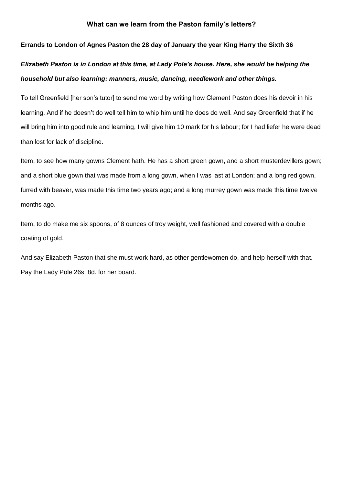#### **Errands to London of Agnes Paston the 28 day of January the year King Harry the Sixth 36**

# *Elizabeth Paston is in London at this time, at Lady Pole's house. Here, she would be helping the household but also learning: manners, music, dancing, needlework and other things.*

To tell Greenfield [her son's tutor] to send me word by writing how Clement Paston does his devoir in his learning. And if he doesn't do well tell him to whip him until he does do well. And say Greenfield that if he will bring him into good rule and learning, I will give him 10 mark for his labour; for I had liefer he were dead than lost for lack of discipline.

Item, to see how many gowns Clement hath. He has a short green gown, and a short musterdevillers gown; and a short blue gown that was made from a long gown, when I was last at London; and a long red gown, furred with beaver, was made this time two years ago; and a long murrey gown was made this time twelve months ago.

Item, to do make me six spoons, of 8 ounces of troy weight, well fashioned and covered with a double coating of gold.

And say Elizabeth Paston that she must work hard, as other gentlewomen do, and help herself with that. Pay the Lady Pole 26s. 8d. for her board.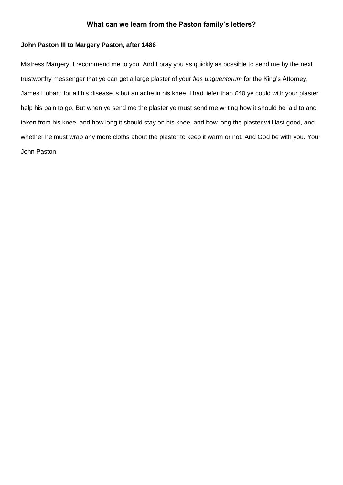#### **John Paston III to Margery Paston, after 1486**

Mistress Margery, I recommend me to you. And I pray you as quickly as possible to send me by the next trustworthy messenger that ye can get a large plaster of your *flos unguentorum* for the King's Attorney, James Hobart; for all his disease is but an ache in his knee. I had liefer than £40 ye could with your plaster help his pain to go. But when ye send me the plaster ye must send me writing how it should be laid to and taken from his knee, and how long it should stay on his knee, and how long the plaster will last good, and whether he must wrap any more cloths about the plaster to keep it warm or not. And God be with you. Your John Paston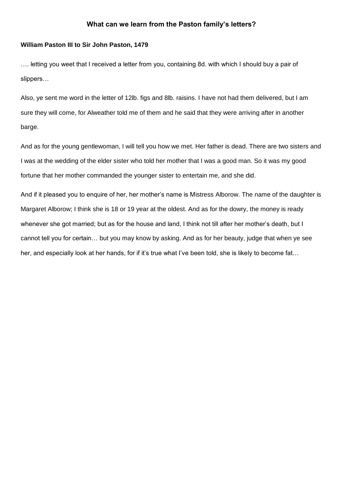#### **William Paston III to Sir John Paston, 1479**

…. letting you weet that I received a letter from you, containing 8d. with which I should buy a pair of slippers…

Also, ye sent me word in the letter of 12lb. figs and 8lb. raisins. I have not had them delivered, but I am sure they will come, for Alweather told me of them and he said that they were arriving after in another barge.

And as for the young gentlewoman, I will tell you how we met. Her father is dead. There are two sisters and I was at the wedding of the elder sister who told her mother that I was a good man. So it was my good fortune that her mother commanded the younger sister to entertain me, and she did.

And if it pleased you to enquire of her, her mother's name is Mistress Alborow. The name of the daughter is Margaret Alborow; I think she is 18 or 19 year at the oldest. And as for the dowry, the money is ready whenever she got married; but as for the house and land, I think not till after her mother's death, but I cannot tell you for certain… but you may know by asking. And as for her beauty, judge that when ye see her, and especially look at her hands, for if it's true what I've been told, she is likely to become fat...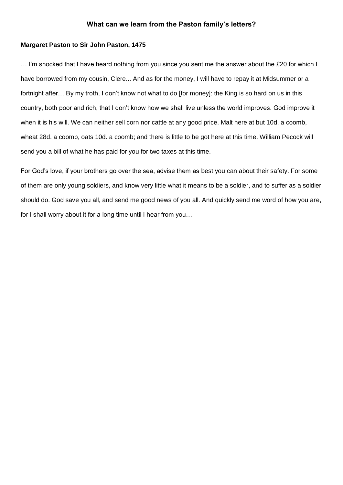#### **Margaret Paston to Sir John Paston, 1475**

… I'm shocked that I have heard nothing from you since you sent me the answer about the £20 for which I have borrowed from my cousin, Clere... And as for the money, I will have to repay it at Midsummer or a fortnight after... By my troth, I don't know not what to do [for money]: the King is so hard on us in this country, both poor and rich, that I don't know how we shall live unless the world improves. God improve it when it is his will. We can neither sell corn nor cattle at any good price. Malt here at but 10d. a coomb, wheat 28d. a coomb, oats 10d. a coomb; and there is little to be got here at this time. William Pecock will send you a bill of what he has paid for you for two taxes at this time.

For God's love, if your brothers go over the sea, advise them as best you can about their safety. For some of them are only young soldiers, and know very little what it means to be a soldier, and to suffer as a soldier should do. God save you all, and send me good news of you all. And quickly send me word of how you are, for I shall worry about it for a long time until I hear from you…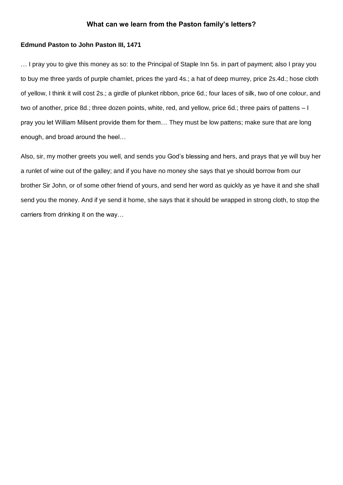#### **Edmund Paston to John Paston III, 1471**

… I pray you to give this money as so: to the Principal of Staple Inn 5s. in part of payment; also I pray you to buy me three yards of purple chamlet, prices the yard 4s.; a hat of deep murrey, price 2s.4d.; hose cloth of yellow, I think it will cost 2s.; a girdle of plunket ribbon, price 6d.; four laces of silk, two of one colour, and two of another, price 8d.; three dozen points, white, red, and yellow, price 6d.; three pairs of pattens – I pray you let William Milsent provide them for them… They must be low pattens; make sure that are long enough, and broad around the heel…

Also, sir, my mother greets you well, and sends you God's blessing and hers, and prays that ye will buy her a runlet of wine out of the galley; and if you have no money she says that ye should borrow from our brother Sir John, or of some other friend of yours, and send her word as quickly as ye have it and she shall send you the money. And if ye send it home, she says that it should be wrapped in strong cloth, to stop the carriers from drinking it on the way…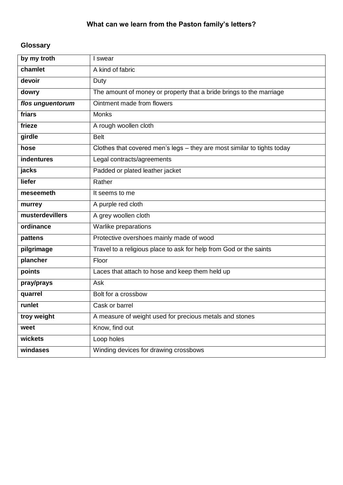# **Glossary**

| by my troth      | I swear                                                                 |
|------------------|-------------------------------------------------------------------------|
| chamlet          | A kind of fabric                                                        |
| devoir           | Duty                                                                    |
| dowry            | The amount of money or property that a bride brings to the marriage     |
| flos unguentorum | Ointment made from flowers                                              |
| friars           | <b>Monks</b>                                                            |
| frieze           | A rough woollen cloth                                                   |
| girdle           | <b>Belt</b>                                                             |
| hose             | Clothes that covered men's legs - they are most similar to tights today |
| indentures       | Legal contracts/agreements                                              |
| jacks            | Padded or plated leather jacket                                         |
| liefer           | Rather                                                                  |
| meseemeth        | It seems to me                                                          |
| murrey           | A purple red cloth                                                      |
| musterdevillers  | A grey woollen cloth                                                    |
| ordinance        | Warlike preparations                                                    |
| pattens          | Protective overshoes mainly made of wood                                |
| pilgrimage       | Travel to a religious place to ask for help from God or the saints      |
| plancher         | Floor                                                                   |
| points           | Laces that attach to hose and keep them held up                         |
| pray/prays       | Ask                                                                     |
| quarrel          | Bolt for a crossbow                                                     |
| runlet           | Cask or barrel                                                          |
| troy weight      | A measure of weight used for precious metals and stones                 |
| weet             | Know, find out                                                          |
| wickets          | Loop holes                                                              |
| windases         | Winding devices for drawing crossbows                                   |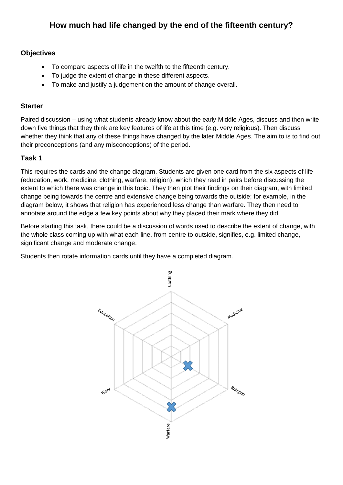# **How much had life changed by the end of the fifteenth century?**

## **Objectives**

- To compare aspects of life in the twelfth to the fifteenth century.
- To judge the extent of change in these different aspects.
- To make and justify a judgement on the amount of change overall.

## **Starter**

Paired discussion – using what students already know about the early Middle Ages, discuss and then write down five things that they think are key features of life at this time (e.g. very religious). Then discuss whether they think that any of these things have changed by the later Middle Ages. The aim to is to find out their preconceptions (and any misconceptions) of the period.

## **Task 1**

This requires the cards and the change diagram. Students are given one card from the six aspects of life (education, work, medicine, clothing, warfare, religion), which they read in pairs before discussing the extent to which there was change in this topic. They then plot their findings on their diagram, with limited change being towards the centre and extensive change being towards the outside; for example, in the diagram below, it shows that religion has experienced less change than warfare. They then need to annotate around the edge a few key points about why they placed their mark where they did.

Before starting this task, there could be a discussion of words used to describe the extent of change, with the whole class coming up with what each line, from centre to outside, signifies, e.g. limited change, significant change and moderate change.

Students then rotate information cards until they have a completed diagram.

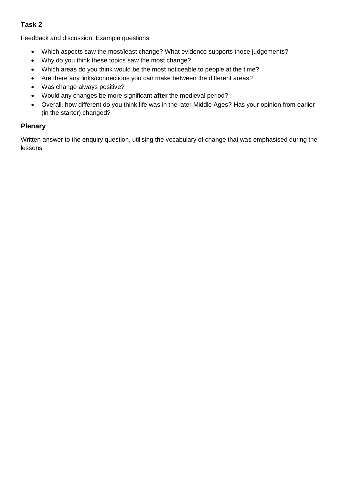## **Task 2**

Feedback and discussion. Example questions:

- Which aspects saw the most/least change? What evidence supports those judgements?
- Why do you think these topics saw the most change?
- Which areas do you think would be the most noticeable to people at the time?
- Are there any links/connections you can make between the different areas?
- Was change always positive?
- Would any changes be more significant **after** the medieval period?
- Overall, how different do you think life was in the later Middle Ages? Has your opinion from earlier (in the starter) changed?

## **Plenary**

Written answer to the enquiry question, utilising the vocabulary of change that was emphasised during the lessons.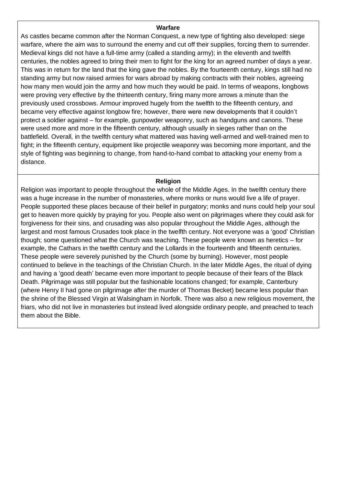#### **Warfare**

As castles became common after the Norman Conquest, a new type of fighting also developed: siege warfare, where the aim was to surround the enemy and cut off their supplies, forcing them to surrender. Medieval kings did not have a full-time army (called a standing army); in the eleventh and twelfth centuries, the nobles agreed to bring their men to fight for the king for an agreed number of days a year. This was in return for the land that the king gave the nobles. By the fourteenth century, kings still had no standing army but now raised armies for wars abroad by making contracts with their nobles, agreeing how many men would join the army and how much they would be paid. In terms of weapons, longbows were proving very effective by the thirteenth century, firing many more arrows a minute than the previously used crossbows. Armour improved hugely from the twelfth to the fifteenth century, and became very effective against longbow fire; however, there were new developments that it couldn't protect a soldier against – for example, gunpowder weaponry, such as handguns and canons. These were used more and more in the fifteenth century, although usually in sieges rather than on the battlefield. Overall, in the twelfth century what mattered was having well-armed and well-trained men to fight; in the fifteenth century, equipment like projectile weaponry was becoming more important, and the style of fighting was beginning to change, from hand-to-hand combat to attacking your enemy from a distance.

#### **Religion**

Religion was important to people throughout the whole of the Middle Ages. In the twelfth century there was a huge increase in the number of monasteries, where monks or nuns would live a life of prayer. People supported these places because of their belief in purgatory; monks and nuns could help your soul get to heaven more quickly by praying for you. People also went on pilgrimages where they could ask for forgiveness for their sins, and crusading was also popular throughout the Middle Ages, although the largest and most famous Crusades took place in the twelfth century. Not everyone was a 'good' Christian though; some questioned what the Church was teaching. These people were known as heretics – for example, the Cathars in the twelfth century and the Lollards in the fourteenth and fifteenth centuries. These people were severely punished by the Church (some by burning). However, most people continued to believe in the teachings of the Christian Church. In the later Middle Ages, the ritual of dying and having a 'good death' became even more important to people because of their fears of the Black Death. Pilgrimage was still popular but the fashionable locations changed; for example, Canterbury (where Henry II had gone on pilgrimage after the murder of Thomas Becket) became less popular than the shrine of the Blessed Virgin at Walsingham in Norfolk. There was also a new religious movement, the friars, who did not live in monasteries but instead lived alongside ordinary people, and preached to teach them about the Bible.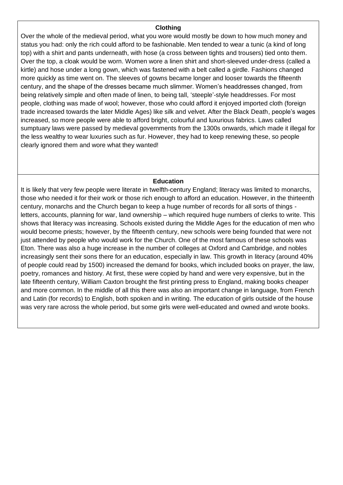#### **Clothing**

Over the whole of the medieval period, what you wore would mostly be down to how much money and status you had: only the rich could afford to be fashionable. Men tended to wear a tunic (a kind of long top) with a shirt and pants underneath, with hose (a cross between tights and trousers) tied onto them. Over the top, a cloak would be worn. Women wore a linen shirt and short-sleeved under-dress (called a kirtle) and hose under a long gown, which was fastened with a belt called a girdle. Fashions changed more quickly as time went on. The sleeves of gowns became longer and looser towards the fifteenth century, and the shape of the dresses became much slimmer. Women's headdresses changed, from being relatively simple and often made of linen, to being tall, 'steeple'-style headdresses. For most people, clothing was made of wool; however, those who could afford it enjoyed imported cloth (foreign trade increased towards the later Middle Ages) like silk and velvet. After the Black Death, people's wages increased, so more people were able to afford bright, colourful and luxurious fabrics. Laws called sumptuary laws were passed by medieval governments from the 1300s onwards, which made it illegal for the less wealthy to wear luxuries such as fur. However, they had to keep renewing these, so people clearly ignored them and wore what they wanted!

#### **Education**

It is likely that very few people were literate in twelfth-century England; literacy was limited to monarchs, those who needed it for their work or those rich enough to afford an education. However, in the thirteenth century, monarchs and the Church began to keep a huge number of records for all sorts of things letters, accounts, planning for war, land ownership – which required huge numbers of clerks to write. This shows that literacy was increasing. Schools existed during the Middle Ages for the education of men who would become priests; however, by the fifteenth century, new schools were being founded that were not just attended by people who would work for the Church. One of the most famous of these schools was Eton. There was also a huge increase in the number of colleges at Oxford and Cambridge, and nobles increasingly sent their sons there for an education, especially in law. This growth in literacy (around 40% of people could read by 1500) increased the demand for books, which included books on prayer, the law, poetry, romances and history. At first, these were copied by hand and were very expensive, but in the late fifteenth century, William Caxton brought the first printing press to England, making books cheaper and more common. In the middle of all this there was also an important change in language, from French and Latin (for records) to English, both spoken and in writing. The education of girls outside of the house was very rare across the whole period, but some girls were well-educated and owned and wrote books.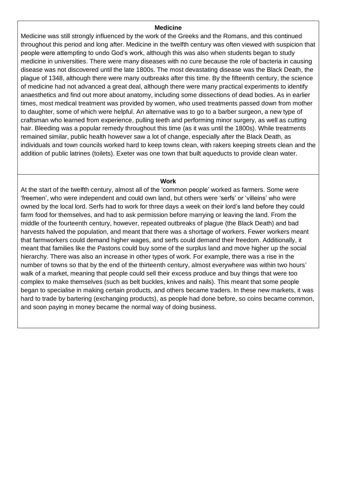#### **Medicine**

Medicine was still strongly influenced by the work of the Greeks and the Romans, and this continued throughout this period and long after. Medicine in the twelfth century was often viewed with suspicion that people were attempting to undo God's work, although this was also when students began to study medicine in universities. There were many diseases with no cure because the role of bacteria in causing disease was not discovered until the late 1800s. The most devastating disease was the Black Death, the plague of 1348, although there were many outbreaks after this time. By the fifteenth century, the science of medicine had not advanced a great deal, although there were many practical experiments to identify anaesthetics and find out more about anatomy, including some dissections of dead bodies. As in earlier times, most medical treatment was provided by women, who used treatments passed down from mother to daughter, some of which were helpful. An alternative was to go to a barber surgeon, a new type of craftsman who learned from experience, pulling teeth and performing minor surgery, as well as cutting hair. Bleeding was a popular remedy throughout this time (as it was until the 1800s). While treatments remained similar, public health however saw a lot of change, especially after the Black Death, as individuals and town councils worked hard to keep towns clean, with rakers keeping streets clean and the addition of public latrines (toilets). Exeter was one town that built aqueducts to provide clean water.

#### **Work**

At the start of the twelfth century, almost all of the 'common people' worked as farmers. Some were 'freemen', who were independent and could own land, but others were 'serfs' or 'villeins' who were owned by the local lord. Serfs had to work for three days a week on their lord's land before they could farm food for themselves, and had to ask permission before marrying or leaving the land. From the middle of the fourteenth century, however, repeated outbreaks of plague (the Black Death) and bad harvests halved the population, and meant that there was a shortage of workers. Fewer workers meant that farmworkers could demand higher wages, and serfs could demand their freedom. Additionally, it meant that families like the Pastons could buy some of the surplus land and move higher up the social hierarchy. There was also an increase in other types of work. For example, there was a rise in the number of towns so that by the end of the thirteenth century, almost everywhere was within two hours' walk of a market, meaning that people could sell their excess produce and buy things that were too complex to make themselves (such as belt buckles, knives and nails). This meant that some people began to specialise in making certain products, and others became traders. In these new markets, it was hard to trade by bartering (exchanging products), as people had done before, so coins became common, and soon paying in money became the normal way of doing business.